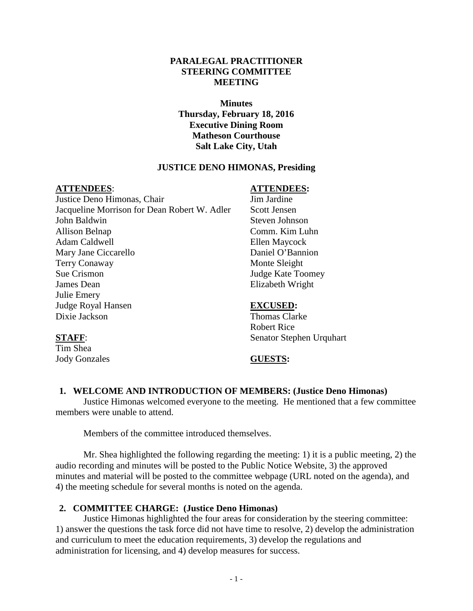## **PARALEGAL PRACTITIONER STEERING COMMITTEE MEETING**

## **Minutes Thursday, February 18, 2016 Executive Dining Room Matheson Courthouse Salt Lake City, Utah**

## **JUSTICE DENO HIMONAS, Presiding**

Justice Deno Himonas, Chair Jim Jardine Jacqueline Morrison for Dean Robert W. Adler Scott Jensen John Baldwin Steven Johnson Allison Belnap Comm. Kim Luhn Adam Caldwell Ellen Maycock Mary Jane Ciccarello Daniel O'Bannion Terry Conaway Monte Sleight Sue Crismon Judge Kate Toomey James Dean Elizabeth Wright Julie Emery Judge Royal Hansen **EXCUSED:** Dixie Jackson Thomas Clarke

### **ATTENDEES**: **ATTENDEES:**

Robert Rice **STAFF:** Senator Stephen Urquhart

Tim Shea Jody Gonzales **GUESTS:**

## **1. WELCOME AND INTRODUCTION OF MEMBERS: (Justice Deno Himonas)**

Justice Himonas welcomed everyone to the meeting. He mentioned that a few committee members were unable to attend.

Members of the committee introduced themselves.

Mr. Shea highlighted the following regarding the meeting: 1) it is a public meeting, 2) the audio recording and minutes will be posted to the Public Notice Website, 3) the approved minutes and material will be posted to the committee webpage (URL noted on the agenda), and 4) the meeting schedule for several months is noted on the agenda.

## **2. COMMITTEE CHARGE: (Justice Deno Himonas)**

Justice Himonas highlighted the four areas for consideration by the steering committee: 1) answer the questions the task force did not have time to resolve, 2) develop the administration and curriculum to meet the education requirements, 3) develop the regulations and administration for licensing, and 4) develop measures for success.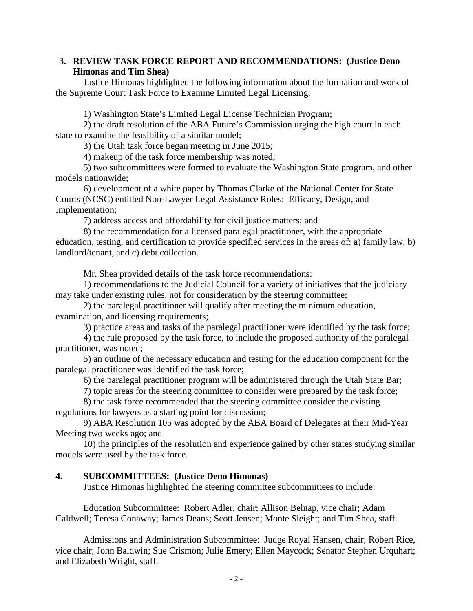# **3. REVIEW TASK FORCE REPORT AND RECOMMENDATIONS: (Justice Deno Himonas and Tim Shea)**

Justice Himonas highlighted the following information about the formation and work of the Supreme Court Task Force to Examine Limited Legal Licensing:

1) Washington State's Limited Legal License Technician Program;

2) the draft resolution of the ABA Future's Commission urging the high court in each state to examine the feasibility of a similar model;

3) the Utah task force began meeting in June 2015;

4) makeup of the task force membership was noted;

5) two subcommittees were formed to evaluate the Washington State program, and other models nationwide;

6) development of a white paper by Thomas Clarke of the National Center for State Courts (NCSC) entitled Non-Lawyer Legal Assistance Roles: Efficacy, Design, and Implementation;

7) address access and affordability for civil justice matters; and

8) the recommendation for a licensed paralegal practitioner, with the appropriate education, testing, and certification to provide specified services in the areas of: a) family law, b) landlord/tenant, and c) debt collection.

Mr. Shea provided details of the task force recommendations:

1) recommendations to the Judicial Council for a variety of initiatives that the judiciary may take under existing rules, not for consideration by the steering committee;

2) the paralegal practitioner will qualify after meeting the minimum education, examination, and licensing requirements;

3) practice areas and tasks of the paralegal practitioner were identified by the task force;

4) the rule proposed by the task force, to include the proposed authority of the paralegal practitioner, was noted;

5) an outline of the necessary education and testing for the education component for the paralegal practitioner was identified the task force;

6) the paralegal practitioner program will be administered through the Utah State Bar;

7) topic areas for the steering committee to consider were prepared by the task force;

8) the task force recommended that the steering committee consider the existing regulations for lawyers as a starting point for discussion;

9) ABA Resolution 105 was adopted by the ABA Board of Delegates at their Mid-Year Meeting two weeks ago; and

10) the principles of the resolution and experience gained by other states studying similar models were used by the task force.

## **4. SUBCOMMITTEES: (Justice Deno Himonas)**

Justice Himonas highlighted the steering committee subcommittees to include:

Education Subcommittee: Robert Adler, chair; Allison Belnap, vice chair; Adam Caldwell; Teresa Conaway; James Deans; Scott Jensen; Monte Sleight; and Tim Shea, staff.

Admissions and Administration Subcommittee: Judge Royal Hansen, chair; Robert Rice, vice chair; John Baldwin; Sue Crismon; Julie Emery; Ellen Maycock; Senator Stephen Urquhart; and Elizabeth Wright, staff.